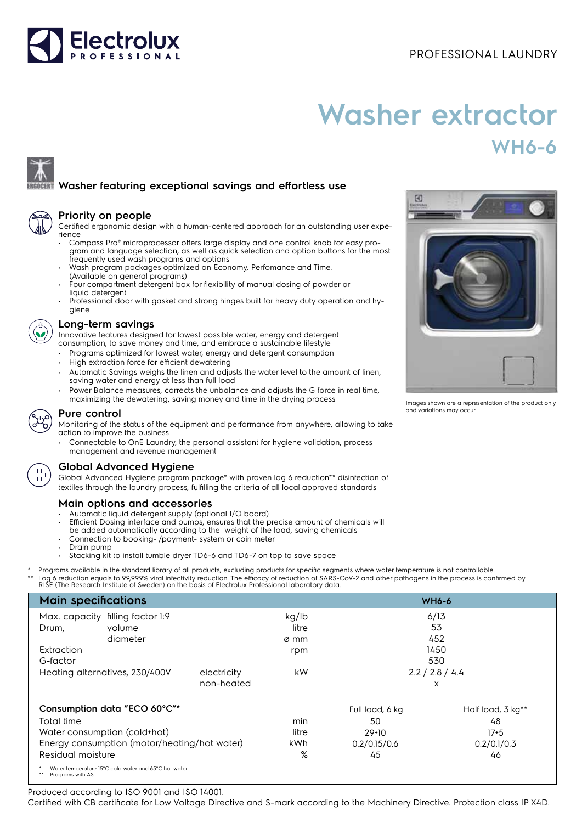

# **Washer extractor WH6-6**

## **Washer featuring exceptional savings and effortless use**

| а |  |
|---|--|
|   |  |

#### **Priority on people**

Certified ergonomic design with a human-centered approach for an outstanding user experience

- Compass Pro® microprocessor offers large display and one control knob for easy program and language selection, as well as quick selection and option buttons for the most frequently used wash programs and options
- Wash program packages optimized on Economy, Perfomance and Time. (Available on general programs)
- Four compartment detergent box for flexibility of manual dosing of powder or liquid detergent
- Professional door with gasket and strong hinges built for heavy duty operation and hygiene

#### **Long-term savings**

Innovative features designed for lowest possible water, energy and detergent consumption, to save money and time, and embrace a sustainable lifestyle

- Programs optimized for lowest water, energy and detergent consumption
- High extraction force for efficient dewatering
- Automatic Savings weighs the linen and adjusts the water level to the amount of linen, saving water and energy at less than full load
- Power Balance measures, corrects the unbalance and adjusts the G force in real time, maximizing the dewatering, saving money and time in the drying process



### **Pure control**

Monitoring of the status of the equipment and performance from anywhere, allowing to take action to improve the business

• Connectable to OnE Laundry, the personal assistant for hygiene validation, process management and revenue management



### **Global Advanced Hygiene**

Global Advanced Hygiene program package\* with proven log 6 reduction\*\* disinfection of textiles through the laundry process, fulfilling the criteria of all local approved standards

### **Main options and accessories**

- Automatic liquid detergent supply (optional I/O board)
- Efficient Dosing interface and pumps, ensures that the precise amount of chemicals will
- be added automatically according to the weight of the load, saving chemicals
- Connection to booking- /payment- system or coin meter
- Drain pump
- Stacking kit to install tumble dryer TD6-6 and TD6-7 on top to save space

Programs available in the standard library of all products, excluding products for specific segments where water temperature is not controllable. \*\* Log 6 reduction equals to 99,999% viral infectivity reduction. The efficacy of reduction of SARS-CoV-2 and other pathogens in the process is confirmed by<br>RISE (The Research Institute of Sweden) on the basis of Electrolu

| <b>Main specifications</b>          |                                                       |             | <b>WH6-6</b> |                 |                   |
|-------------------------------------|-------------------------------------------------------|-------------|--------------|-----------------|-------------------|
| filling factor 1:9<br>Max. capacity |                                                       | kg/lb       | 6/13         |                 |                   |
| Drum,                               | volume                                                |             | litre        | 53              |                   |
|                                     | diameter                                              |             | ø mm         | 452             |                   |
| Extraction                          |                                                       |             | rpm          | 1450            |                   |
| G-factor                            |                                                       |             |              | 530             |                   |
| Heating alternatives, 230/400V      |                                                       | electricity | kW.          | 2.2 / 2.8 / 4.4 |                   |
|                                     |                                                       | non-heated  |              | X               |                   |
| Consumption data "ECO 60°C"*        |                                                       |             |              | Full load, 6 kg | Half load, 3 kg** |
| Total time                          |                                                       |             | min          | 50              | 48                |
| Water consumption (cold+hot)        |                                                       |             | litre        | $29+10$         | $17 + 5$          |
|                                     | Energy consumption (motor/heating/hot water)          |             | kWh          | 0.2/0.15/0.6    | 0.2/0.1/0.3       |
| Residual moisture                   |                                                       |             | %            | 45              | 46                |
| Programs with AS.                   | Water temperature 15°C cold water and 65°C hot water. |             |              |                 |                   |

Produced according to ISO 9001 and ISO 14001.

Certified with CB certificate for Low Voltage Directive and S-mark according to the Machinery Directive. Protection class IP X4D.



Images shown are a representation of the product only and variations may occur.